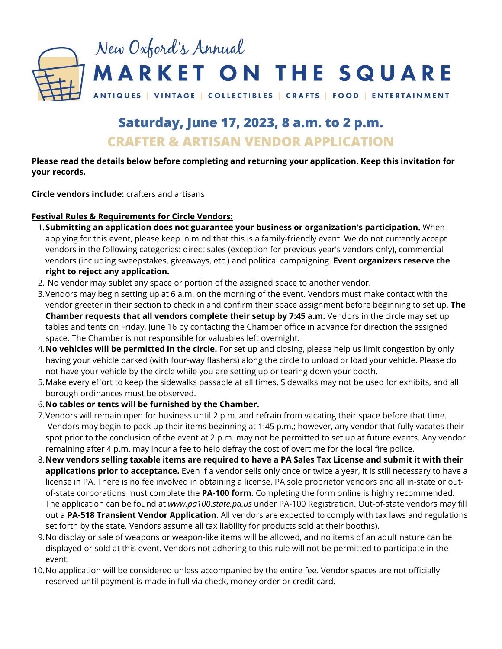

# **Saturday, June 17, 2023, 8 a.m. to 2 p.m. CRAFTER & ARTISAN VENDOR APPLICATION**

#### **Please read the details below before completing and returning your application. Keep this invitation for your records.**

**Circle vendors include:** crafters and artisans

#### **Festival Rules & Requirements for Circle Vendors:**

- **Submitting an application does not guarantee your business or organization's participation.** When 1. applying for this event, please keep in mind that this is a family-friendly event. We do not currently accept vendors in the following categories: direct sales (exception for previous year's vendors only), commercial vendors (including sweepstakes, giveaways, etc.) and political campaigning. **Event organizers reserve the right to reject any application.**
- 2. No vendor may sublet any space or portion of the assigned space to another vendor.
- 3.Vendors may begin setting up at 6 a.m. on the morning of the event. Vendors must make contact with the vendor greeter in their section to check in and confirm their space assignment before beginning to set up. **The Chamber requests that all vendors complete their setup by 7:45 a.m.** Vendors in the circle may set up tables and tents on Friday, June 16 by contacting the Chamber office in advance for direction the assigned space. The Chamber is not responsible for valuables left overnight.
- **No vehicles will be permitted in the circle.** For set up and closing, please help us limit congestion by only 4. having your vehicle parked (with four-way flashers) along the circle to unload or load your vehicle. Please do not have your vehicle by the circle while you are setting up or tearing down your booth.
- Make every effort to keep the sidewalks passable at all times. Sidewalks may not be used for exhibits, and all 5. borough ordinances must be observed.
- **No tables or tents will be furnished by the Chamber.** 6.
- Vendors will remain open for business until 2 p.m. and refrain from vacating their space before that time. 7. Vendors may begin to pack up their items beginning at 1:45 p.m.; however, any vendor that fully vacates their spot prior to the conclusion of the event at 2 p.m. may not be permitted to set up at future events. Any vendor remaining after 4 p.m. may incur a fee to help defray the cost of overtime for the local fire police.
- 8. New vendors selling taxable items are required to have a PA Sales Tax License and submit it with their **applications prior to acceptance.** Even if a vendor sells only once or twice a year, it is still necessary to have a license in PA. There is no fee involved in obtaining a license. PA sole proprietor vendors and all in-state or outof-state corporations must complete the **PA‐100 form**. Completing the form online is highly recommended. The application can be found at *www.pa100.state.pa.us* under PA-100 Registration. Out-of-state vendors may fill out a **PA-518 Transient Vendor Application**. All vendors are expected to comply with tax laws and regulations set forth by the state. Vendors assume all tax liability for products sold at their booth(s).
- No display or sale of weapons or weapon-like items will be allowed, and no items of an adult nature can be 9. displayed or sold at this event. Vendors not adhering to this rule will not be permitted to participate in the event.
- 10. No application will be considered unless accompanied by the entire fee. Vendor spaces are not officially reserved until payment is made in full via check, money order or credit card.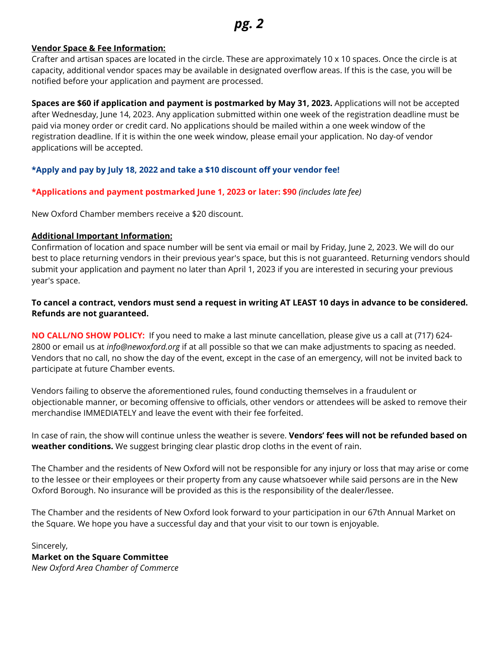#### **Vendor Space & Fee Information:**

Crafter and artisan spaces are located in the circle. These are approximately 10 x 10 spaces. Once the circle is at capacity, additional vendor spaces may be available in designated overflow areas. If this is the case, you will be notified before your application and payment are processed.

**Spaces are \$60 if application and payment is postmarked by May 31, 2023.** Applications will not be accepted after Wednesday, June 14, 2023. Any application submitted within one week of the registration deadline must be paid via money order or credit card. No applications should be mailed within a one week window of the registration deadline. If it is within the one week window, please email your application. No day-of vendor applications will be accepted.

#### **\*Apply and pay by July 18, 2022 and take a \$10 discount off your vendor fee!**

**\*Applications and payment postmarked June 1, 2023 or later: \$90** *(includes late fee)*

New Oxford Chamber members receive a \$20 discount.

#### **Additional Important Information:**

Confirmation of location and space number will be sent via email or mail by Friday, June 2, 2023. We will do our best to place returning vendors in their previous year's space, but this is not guaranteed. Returning vendors should submit your application and payment no later than April 1, 2023 if you are interested in securing your previous year's space.

#### To cancel a contract, vendors must send a request in writing AT LEAST 10 days in advance to be considered. **Refunds are not guaranteed.**

**NO CALL/NO SHOW POLICY:** If you need to make a last minute cancellation, please give us a call at (717) 624- 2800 or email us at *info@newoxford.org* if at all possible so that we can make adjustments to spacing as needed. Vendors that no call, no show the day of the event, except in the case of an emergency, will not be invited back to participate at future Chamber events.

Vendors failing to observe the aforementioned rules, found conducting themselves in a fraudulent or objectionable manner, or becoming offensive to officials, other vendors or attendees will be asked to remove their merchandise IMMEDIATELY and leave the event with their fee forfeited.

In case of rain, the show will continue unless the weather is severe. **Vendors' fees will not be refunded based on weather conditions.** We suggest bringing clear plastic drop cloths in the event of rain.

The Chamber and the residents of New Oxford will not be responsible for any injury or loss that may arise or come to the lessee or their employees or their property from any cause whatsoever while said persons are in the New Oxford Borough. No insurance will be provided as this is the responsibility of the dealer/lessee.

The Chamber and the residents of New Oxford look forward to your participation in our 67th Annual Market on the Square. We hope you have a successful day and that your visit to our town is enjoyable.

Sincerely, **Market on the Square Committee** *New Oxford Area Chamber of Commerce*